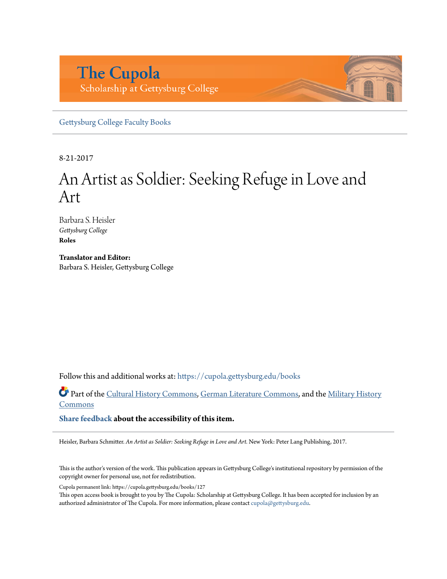# **The Cupola** Scholarship at Gettysburg College

[Gettysburg College Faculty Books](https://cupola.gettysburg.edu/books?utm_source=cupola.gettysburg.edu%2Fbooks%2F127&utm_medium=PDF&utm_campaign=PDFCoverPages)

8-21-2017

# An Artist as Soldier: Seeking Refuge in Love and Art

Barbara S. Heisler *Gettysburg College* **Roles**

**Translator and Editor:** Barbara S. Heisler, Gettysburg College

Follow this and additional works at: [https://cupola.gettysburg.edu/books](https://cupola.gettysburg.edu/books?utm_source=cupola.gettysburg.edu%2Fbooks%2F127&utm_medium=PDF&utm_campaign=PDFCoverPages)

Part of the [Cultural History Commons,](http://network.bepress.com/hgg/discipline/496?utm_source=cupola.gettysburg.edu%2Fbooks%2F127&utm_medium=PDF&utm_campaign=PDFCoverPages) [German Literature Commons,](http://network.bepress.com/hgg/discipline/469?utm_source=cupola.gettysburg.edu%2Fbooks%2F127&utm_medium=PDF&utm_campaign=PDFCoverPages) and the [Military History](http://network.bepress.com/hgg/discipline/504?utm_source=cupola.gettysburg.edu%2Fbooks%2F127&utm_medium=PDF&utm_campaign=PDFCoverPages) **[Commons](http://network.bepress.com/hgg/discipline/504?utm_source=cupola.gettysburg.edu%2Fbooks%2F127&utm_medium=PDF&utm_campaign=PDFCoverPages)** 

**[Share feedback](https://docs.google.com/a/bepress.com/forms/d/1h9eEcpBPj5POs5oO6Y5A0blXRmZqykoonyYiZUNyEq8/viewform) about the accessibility of this item.**

Heisler, Barbara Schmitter. *An Artist as Soldier: Seeking Refuge in Love and Art.* New York: Peter Lang Publishing, 2017.

This is the author's version of the work. This publication appears in Gettysburg College's institutional repository by permission of the copyright owner for personal use, not for redistribution.

Cupola permanent link: https://cupola.gettysburg.edu/books/127

This open access book is brought to you by The Cupola: Scholarship at Gettysburg College. It has been accepted for inclusion by an authorized administrator of The Cupola. For more information, please contact [cupola@gettysburg.edu.](mailto:cupola@gettysburg.edu)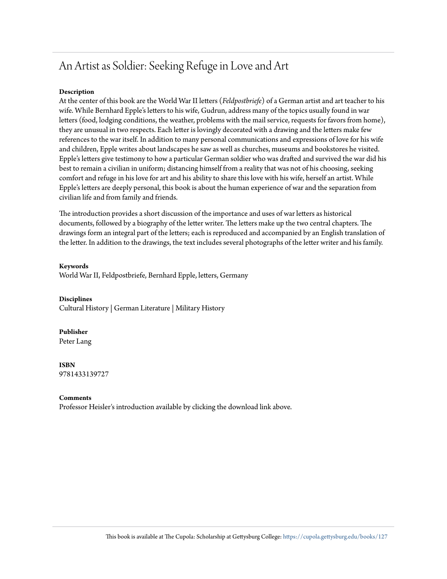## An Artist as Soldier: Seeking Refuge in Love and Art

#### **Description**

At the center of this book are the World War II letters (*Feldpostbriefe*) of a German artist and art teacher to his wife. While Bernhard Epple's letters to his wife, Gudrun, address many of the topics usually found in war letters (food, lodging conditions, the weather, problems with the mail service, requests for favors from home), they are unusual in two respects. Each letter is lovingly decorated with a drawing and the letters make few references to the war itself. In addition to many personal communications and expressions of love for his wife and children, Epple writes about landscapes he saw as well as churches, museums and bookstores he visited. Epple's letters give testimony to how a particular German soldier who was drafted and survived the war did his best to remain a civilian in uniform; distancing himself from a reality that was not of his choosing, seeking comfort and refuge in his love for art and his ability to share this love with his wife, herself an artist. While Epple's letters are deeply personal, this book is about the human experience of war and the separation from civilian life and from family and friends.

The introduction provides a short discussion of the importance and uses of war letters as historical documents, followed by a biography of the letter writer. The letters make up the two central chapters. The drawings form an integral part of the letters; each is reproduced and accompanied by an English translation of the letter. In addition to the drawings, the text includes several photographs of the letter writer and his family.

#### **Keywords**

World War II, Feldpostbriefe, Bernhard Epple, letters, Germany

#### **Disciplines**

Cultural History | German Literature | Military History

#### **Publisher**

Peter Lang

#### **ISBN** 9781433139727

#### **Comments**

Professor Heisler's introduction available by clicking the download link above.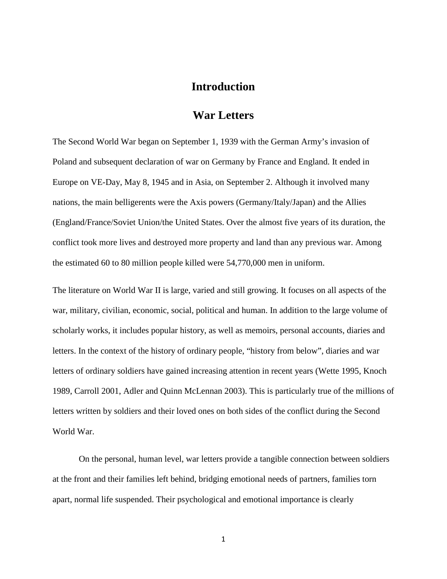## **Introduction**

### **War Letters**

The Second World War began on September 1, 1939 with the German Army's invasion of Poland and subsequent declaration of war on Germany by France and England. It ended in Europe on VE-Day, May 8, 1945 and in Asia, on September 2. Although it involved many nations, the main belligerents were the Axis powers (Germany/Italy/Japan) and the Allies (England/France/Soviet Union/the United States. Over the almost five years of its duration, the conflict took more lives and destroyed more property and land than any previous war. Among the estimated 60 to 80 million people killed were 54,770,000 men in uniform.

The literature on World War II is large, varied and still growing. It focuses on all aspects of the war, military, civilian, economic, social, political and human. In addition to the large volume of scholarly works, it includes popular history, as well as memoirs, personal accounts, diaries and letters. In the context of the history of ordinary people, "history from below", diaries and war letters of ordinary soldiers have gained increasing attention in recent years (Wette 1995, Knoch 1989, Carroll 2001, Adler and Quinn McLennan 2003). This is particularly true of the millions of letters written by soldiers and their loved ones on both sides of the conflict during the Second World War.

On the personal, human level, war letters provide a tangible connection between soldiers at the front and their families left behind, bridging emotional needs of partners, families torn apart, normal life suspended. Their psychological and emotional importance is clearly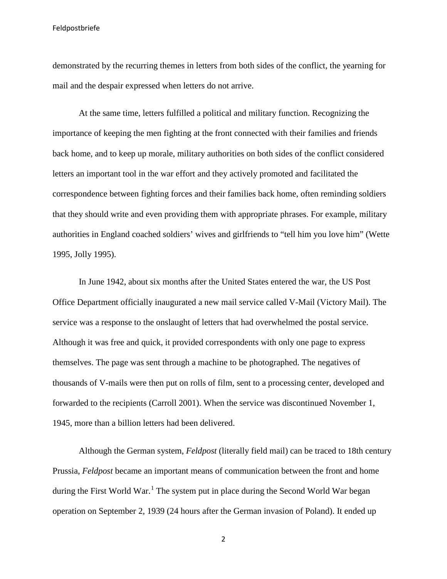demonstrated by the recurring themes in letters from both sides of the conflict, the yearning for mail and the despair expressed when letters do not arrive.

At the same time, letters fulfilled a political and military function. Recognizing the importance of keeping the men fighting at the front connected with their families and friends back home, and to keep up morale, military authorities on both sides of the conflict considered letters an important tool in the war effort and they actively promoted and facilitated the correspondence between fighting forces and their families back home, often reminding soldiers that they should write and even providing them with appropriate phrases. For example, military authorities in England coached soldiers' wives and girlfriends to "tell him you love him" (Wette 1995, Jolly 1995).

In June 1942, about six months after the United States entered the war, the US Post Office Department officially inaugurated a new mail service called V-Mail (Victory Mail). The service was a response to the onslaught of letters that had overwhelmed the postal service. Although it was free and quick, it provided correspondents with only one page to express themselves. The page was sent through a machine to be photographed. The negatives of thousands of V-mails were then put on rolls of film, sent to a processing center, developed and forwarded to the recipients (Carroll 2001). When the service was discontinued November 1, 1945, more than a billion letters had been delivered.

Although the German system, *Feldpost* (literally field mail) can be traced to 18th century Prussia, *Feldpost* became an important means of communication between the front and home during the First World War.<sup>[1](#page-6-0)</sup> The system put in place during the Second World War began operation on September 2, 1939 (24 hours after the German invasion of Poland). It ended up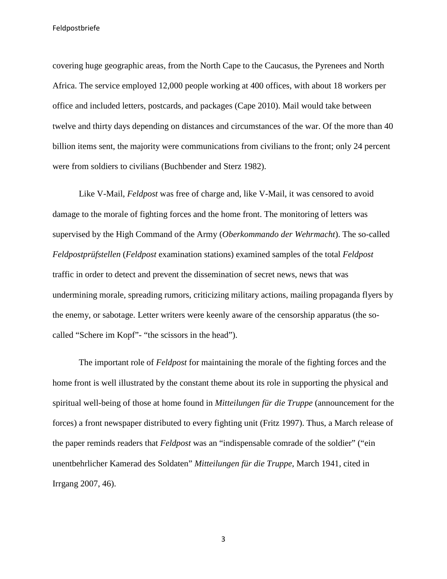covering huge geographic areas, from the North Cape to the Caucasus, the Pyrenees and North Africa. The service employed 12,000 people working at 400 offices, with about 18 workers per office and included letters, postcards, and packages (Cape 2010). Mail would take between twelve and thirty days depending on distances and circumstances of the war. Of the more than 40 billion items sent, the majority were communications from civilians to the front; only 24 percent were from soldiers to civilians (Buchbender and Sterz 1982).

Like V-Mail, *Feldpost* was free of charge and, like V-Mail, it was censored to avoid damage to the morale of fighting forces and the home front. The monitoring of letters was supervised by the High Command of the Army (*Oberkommando der Wehrmacht*). The so-called *Feldpostprüfstellen* (*Feldpost* examination stations) examined samples of the total *Feldpost* traffic in order to detect and prevent the dissemination of secret news, news that was undermining morale, spreading rumors, criticizing military actions, mailing propaganda flyers by the enemy, or sabotage. Letter writers were keenly aware of the censorship apparatus (the socalled "Schere im Kopf"- "the scissors in the head").

The important role of *Feldpost* for maintaining the morale of the fighting forces and the home front is well illustrated by the constant theme about its role in supporting the physical and spiritual well-being of those at home found in *Mitteilungen für die Truppe* (announcement for the forces) a front newspaper distributed to every fighting unit (Fritz 1997). Thus, a March release of the paper reminds readers that *Feldpost* was an "indispensable comrade of the soldier" ("ein unentbehrlicher Kamerad des Soldaten" *Mitteilungen für die Truppe*, March 1941, cited in Irrgang 2007, 46).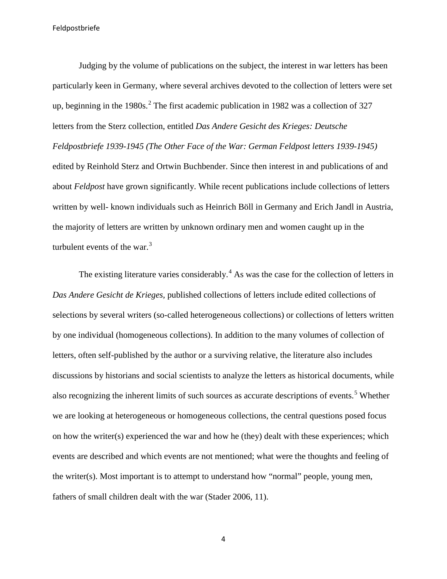Judging by the volume of publications on the subject, the interest in war letters has been particularly keen in Germany, where several archives devoted to the collection of letters were set up, beginning in the 1980s.<sup>[2](#page-7-0)</sup> The first academic publication in 1982 was a collection of 327 letters from the Sterz collection, entitled *Das Andere Gesicht des Krieges: Deutsche Feldpostbriefe 1939-1945 (The Other Face of the War: German Feldpost letters 1939-1945)*  edited by Reinhold Sterz and Ortwin Buchbender. Since then interest in and publications of and about *Feldpost* have grown significantly. While recent publications include collections of letters written by well- known individuals such as Heinrich Böll in Germany and Erich Jandl in Austria, the majority of letters are written by unknown ordinary men and women caught up in the turbulent events of the war. $3$ 

The existing literature varies considerably.<sup>[4](#page-7-2)</sup> As was the case for the collection of letters in *Das Andere Gesicht de Krieges,* published collections of letters include edited collections of selections by several writers (so-called heterogeneous collections) or collections of letters written by one individual (homogeneous collections). In addition to the many volumes of collection of letters, often self-published by the author or a surviving relative, the literature also includes discussions by historians and social scientists to analyze the letters as historical documents, while also recognizing the inherent limits of such sources as accurate descriptions of events.<sup>[5](#page-7-3)</sup> Whether we are looking at heterogeneous or homogeneous collections, the central questions posed focus on how the writer(s) experienced the war and how he (they) dealt with these experiences; which events are described and which events are not mentioned; what were the thoughts and feeling of the writer(s). Most important is to attempt to understand how "normal" people, young men, fathers of small children dealt with the war (Stader 2006, 11).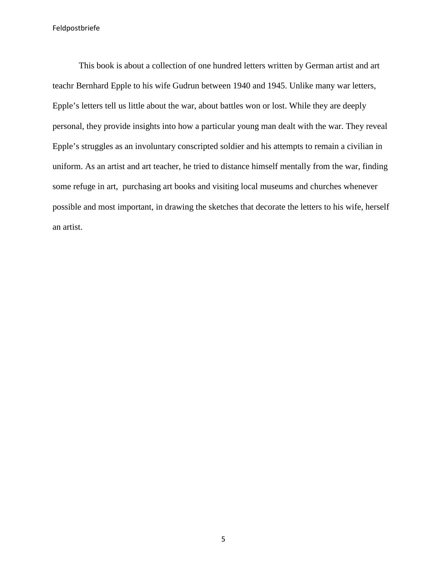<span id="page-6-0"></span>This book is about a collection of one hundred letters written by German artist and art teachr Bernhard Epple to his wife Gudrun between 1940 and 1945. Unlike many war letters, Epple's letters tell us little about the war, about battles won or lost. While they are deeply personal, they provide insights into how a particular young man dealt with the war. They reveal Epple's struggles as an involuntary conscripted soldier and his attempts to remain a civilian in uniform. As an artist and art teacher, he tried to distance himself mentally from the war, finding some refuge in art, purchasing art books and visiting local museums and churches whenever possible and most important, in drawing the sketches that decorate the letters to his wife, herself an artist.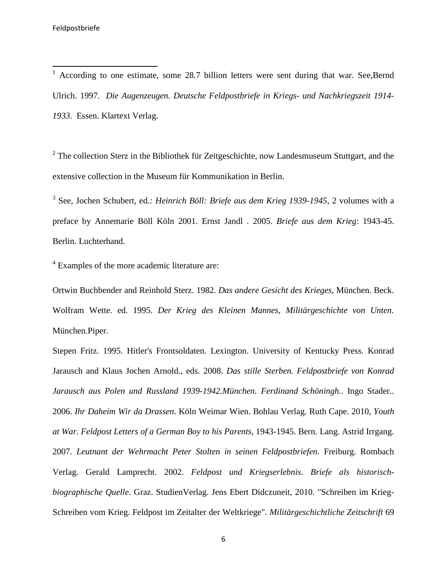<sup>1</sup> According to one estimate, some 28.7 billion letters were sent during that war. See,Bernd Ulrich. 1997. *Die Augenzeugen. Deutsche Feldpostbriefe in Kriegs- und Nachkriegszeit 1914- 1933*. Essen. Klartext Verlag.

<span id="page-7-3"></span><span id="page-7-0"></span> $2^2$  The collection Sterz in the Bibliothek für Zeitgeschichte, now Landesmuseum Stuttgart, and the extensive collection in the Museum für Kommunikation in Berlin.

<span id="page-7-1"></span><sup>3</sup> See, Jochen Schubert, ed*.: Heinrich Böll: Briefe aus dem Krieg 1939-1945*, 2 volumes with a preface by Annemarie Böll Köln 2001. Ernst Jandl . 2005. *Briefe aus dem Krieg*: 1943-45. Berlin. Luchterhand.

<span id="page-7-2"></span><sup>4</sup> Examples of the more academic literature are:

Ortwin Buchbender and Reinhold Sterz. 1982. *Das andere Gesicht des Krieges*, München. Beck. Wolfram Wette. ed. 1995. *Der Krieg des Kleinen Mannes, Militärgeschichte von Unten.*  München.Piper.

Stepen Fritz. 1995. Hitler's Frontsoldaten. Lexington. University of Kentucky Press. Konrad Jarausch and Klaus Jochen Arnold., eds. 2008. *Das stille Sterben. Feldpostbriefe von Konrad Jarausch aus Polen und Russland 1939-1942.München. Ferdinand Schöningh..* Ingo Stader.. 2006. *Ihr Daheim Wir da Drassen*. Köln Weimar Wien. Bohlau Verlag. Ruth Cape. 2010*, Youth at War. Feldpost Letters of a German Boy to his Parents*, 1943-1945. Bern. Lang. Astrid Irrgang. 2007. *Leutnant der Wehrmacht Peter Stolten in seinen Feldpostbriefen.* Freiburg. Rombach Verlag. Gerald Lamprecht. 2002. *Feldpost und Kriegserlebnis. Briefe als historischbiographische Quelle*. Graz. StudienVerlag. Jens Ebert Didczuneit, 2010. "Schreiben im Krieg-Schreiben vom Krieg. Feldpost im Zeitalter der Weltkriege". *Militärgeschichtliche Zeitschrift* 69